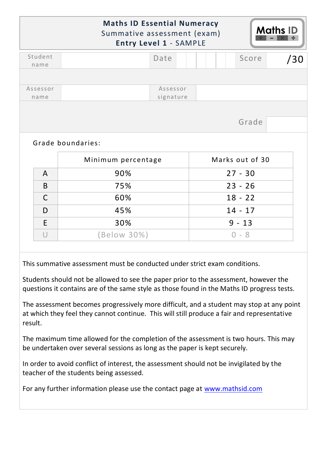|                  | <b>Maths ID Essential Numeracy</b><br>Summative assessment (exam) | <b>Entry Level 1 - SAMPLE</b> |  |                              |       | <b>Maths ID</b> |
|------------------|-------------------------------------------------------------------|-------------------------------|--|------------------------------|-------|-----------------|
| Student<br>name  |                                                                   | Date                          |  |                              | Score | /30             |
|                  |                                                                   |                               |  |                              |       |                 |
| Assessor<br>name |                                                                   | Assessor<br>signature         |  |                              |       |                 |
|                  |                                                                   |                               |  |                              |       |                 |
|                  | Grade boundaries:                                                 |                               |  |                              | Grade |                 |
|                  |                                                                   |                               |  |                              |       |                 |
| $\mathsf{A}$     | Minimum percentage<br>90%                                         |                               |  | Marks out of 30<br>$27 - 30$ |       |                 |
| B                | 75%                                                               |                               |  | $23 - 26$                    |       |                 |
| $\mathsf{C}$     | 60%                                                               |                               |  | $18 - 22$                    |       |                 |
| D                | 45%                                                               |                               |  | $14 - 17$                    |       |                 |
| E                | 30%                                                               |                               |  | $9 - 13$                     |       |                 |

This summative assessment must be conducted under strict exam conditions.

Students should not be allowed to see the paper prior to the assessment, however the questions it contains are of the same style as those found in the Maths ID progress tests.

The assessment becomes progressively more difficult, and a student may stop at any point at which they feel they cannot continue. This will still produce a fair and representative result.

The maximum time allowed for the completion of the assessment is two hours. This may be undertaken over several sessions as long as the paper is kept securely.

In order to avoid conflict of interest, the assessment should not be invigilated by the teacher of the students being assessed.

For any further information please use the contact page at [www.mathsid.com](http://www.mathsid.com/)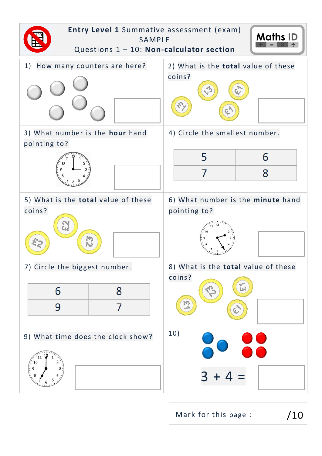

Mark for this page :  $/10$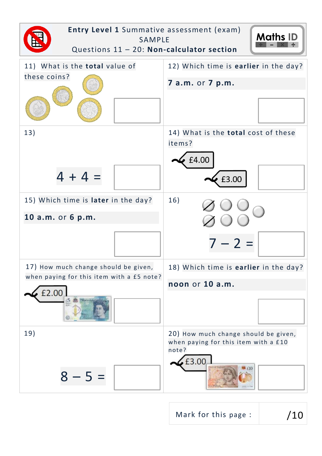

Mark for this page :  $/10$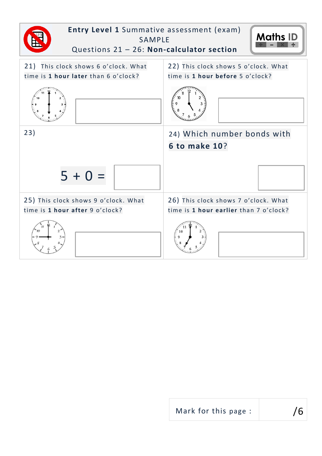